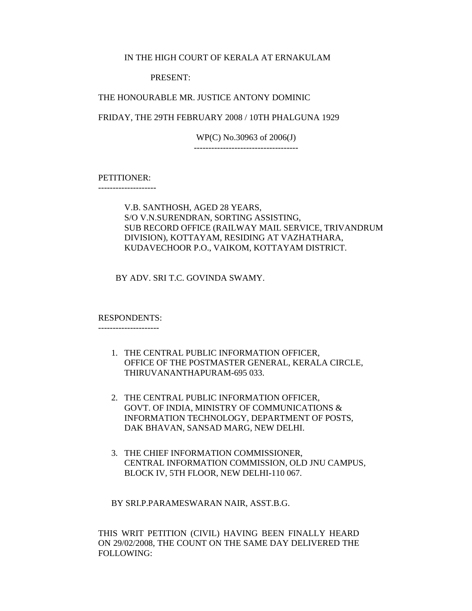## IN THE HIGH COURT OF KERALA AT ERNAKULAM

### PRESENT:

### THE HONOURABLE MR. JUSTICE ANTONY DOMINIC

FRIDAY, THE 29TH FEBRUARY 2008 / 10TH PHALGUNA 1929

WP(C) No.30963 of 2006(J) ------------------------------------

PETITIONER:

--------------------

# V.B. SANTHOSH, AGED 28 YEARS, S/O V.N.SURENDRAN, SORTING ASSISTING, SUB RECORD OFFICE (RAILWAY MAIL SERVICE, TRIVANDRUM DIVISION), KOTTAYAM, RESIDING AT VAZHATHARA, KUDAVECHOOR P.O., VAIKOM, KOTTAYAM DISTRICT.

BY ADV. SRI T.C. GOVINDA SWAMY.

### RESPONDENTS:

---------------------

- 1. THE CENTRAL PUBLIC INFORMATION OFFICER, OFFICE OF THE POSTMASTER GENERAL, KERALA CIRCLE, THIRUVANANTHAPURAM-695 033.
- 2. THE CENTRAL PUBLIC INFORMATION OFFICER, GOVT. OF INDIA, MINISTRY OF COMMUNICATIONS & INFORMATION TECHNOLOGY, DEPARTMENT OF POSTS, DAK BHAVAN, SANSAD MARG, NEW DELHI.
- 3. THE CHIEF INFORMATION COMMISSIONER, CENTRAL INFORMATION COMMISSION, OLD JNU CAMPUS, BLOCK IV, 5TH FLOOR, NEW DELHI-110 067.

BY SRI.P.PARAMESWARAN NAIR, ASST.B.G.

THIS WRIT PETITION (CIVIL) HAVING BEEN FINALLY HEARD ON 29/02/2008, THE COUNT ON THE SAME DAY DELIVERED THE FOLLOWING: